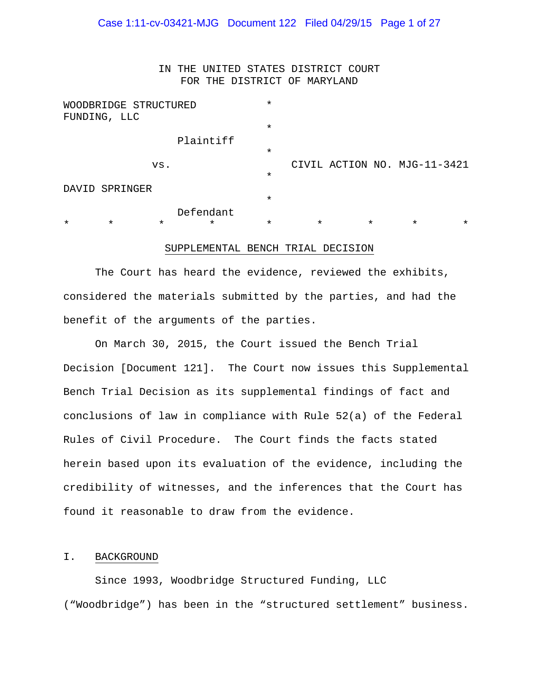# Case 1:11-cv-03421-MJG Document 122 Filed 04/29/15 Page 1 of 27

IN THE UNITED STATES DISTRICT COURT FOR THE DISTRICT OF MARYLAND

| WOODBRIDGE STRUCTURED |              |         |           | $^\star$                     |         |         |         |          |
|-----------------------|--------------|---------|-----------|------------------------------|---------|---------|---------|----------|
|                       | FUNDING, LLC |         |           |                              |         |         |         |          |
|                       |              |         |           | $\star$                      |         |         |         |          |
|                       |              |         | Plaintiff |                              |         |         |         |          |
|                       |              |         |           | $\star$                      |         |         |         |          |
| VS.                   |              |         |           | CIVIL ACTION NO. MJG-11-3421 |         |         |         |          |
|                       |              |         |           | $\star$                      |         |         |         |          |
| DAVID SPRINGER        |              |         |           |                              |         |         |         |          |
|                       |              |         |           | $\star$                      |         |         |         |          |
|                       |              |         | Defendant |                              |         |         |         |          |
| $\star$               | $\star$      | $\star$ | $^\star$  | $\star$                      | $\star$ | $\star$ | $\star$ | $^\star$ |

#### SUPPLEMENTAL BENCH TRIAL DECISION

The Court has heard the evidence, reviewed the exhibits, considered the materials submitted by the parties, and had the benefit of the arguments of the parties.

On March 30, 2015, the Court issued the Bench Trial Decision [Document 121]. The Court now issues this Supplemental Bench Trial Decision as its supplemental findings of fact and conclusions of law in compliance with Rule 52(a) of the Federal Rules of Civil Procedure. The Court finds the facts stated herein based upon its evaluation of the evidence, including the credibility of witnesses, and the inferences that the Court has found it reasonable to draw from the evidence.

### I. BACKGROUND

 Since 1993, Woodbridge Structured Funding, LLC ("Woodbridge") has been in the "structured settlement" business.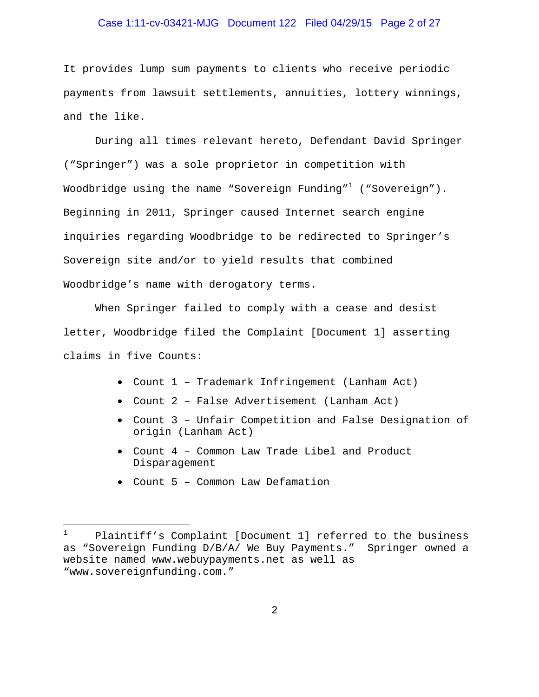# Case 1:11-cv-03421-MJG Document 122 Filed 04/29/15 Page 2 of 27

It provides lump sum payments to clients who receive periodic payments from lawsuit settlements, annuities, lottery winnings, and the like.

 During all times relevant hereto, Defendant David Springer ("Springer") was a sole proprietor in competition with Woodbridge using the name "Sovereign Funding" $^1$  ("Sovereign"). Beginning in 2011, Springer caused Internet search engine inquiries regarding Woodbridge to be redirected to Springer's Sovereign site and/or to yield results that combined Woodbridge's name with derogatory terms.

When Springer failed to comply with a cease and desist letter, Woodbridge filed the Complaint [Document 1] asserting claims in five Counts:

- Count 1 Trademark Infringement (Lanham Act)
- Count 2 False Advertisement (Lanham Act)
- Count 3 Unfair Competition and False Designation of origin (Lanham Act)
- Count 4 Common Law Trade Libel and Product Disparagement
- Count 5 Common Law Defamation

 $\frac{1}{1}$  Plaintiff's Complaint [Document 1] referred to the business as "Sovereign Funding D/B/A/ We Buy Payments." Springer owned a website named www.webuypayments.net as well as "www.sovereignfunding.com."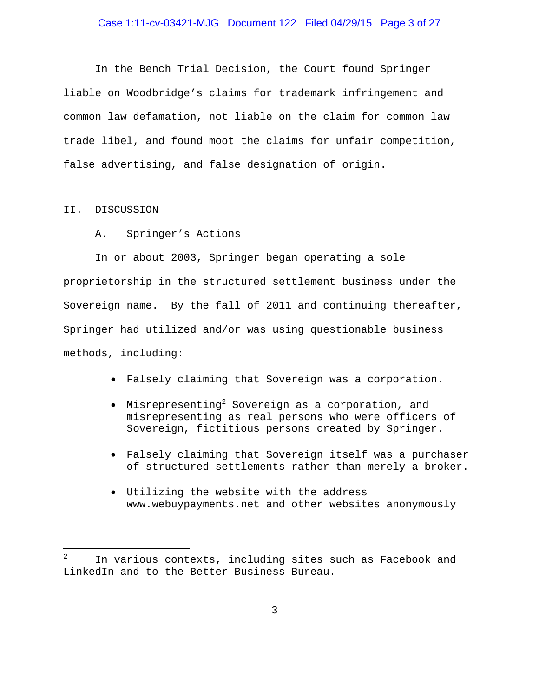# Case 1:11-cv-03421-MJG Document 122 Filed 04/29/15 Page 3 of 27

In the Bench Trial Decision, the Court found Springer liable on Woodbridge's claims for trademark infringement and common law defamation, not liable on the claim for common law trade libel, and found moot the claims for unfair competition, false advertising, and false designation of origin.

#### II. DISCUSSION

i

#### A. Springer's Actions

In or about 2003, Springer began operating a sole proprietorship in the structured settlement business under the Sovereign name. By the fall of 2011 and continuing thereafter, Springer had utilized and/or was using questionable business methods, including:

- Falsely claiming that Sovereign was a corporation.
- $\bullet$  Misrepresenting<sup>2</sup> Sovereign as a corporation, and misrepresenting as real persons who were officers of Sovereign, fictitious persons created by Springer.
- Falsely claiming that Sovereign itself was a purchaser of structured settlements rather than merely a broker.
- Utilizing the website with the address www.webuypayments.net and other websites anonymously

<sup>2</sup> In various contexts, including sites such as Facebook and LinkedIn and to the Better Business Bureau.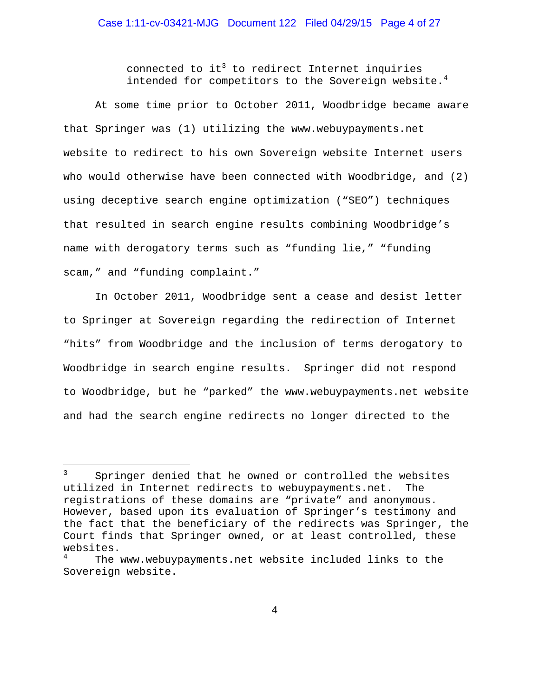connected to it $^3$  to redirect Internet inquiries intended for competitors to the Sovereign website. $4$ 

At some time prior to October 2011, Woodbridge became aware that Springer was (1) utilizing the www.webuypayments.net website to redirect to his own Sovereign website Internet users who would otherwise have been connected with Woodbridge, and (2) using deceptive search engine optimization ("SEO") techniques that resulted in search engine results combining Woodbridge's name with derogatory terms such as "funding lie," "funding scam," and "funding complaint."

In October 2011, Woodbridge sent a cease and desist letter to Springer at Sovereign regarding the redirection of Internet "hits" from Woodbridge and the inclusion of terms derogatory to Woodbridge in search engine results. Springer did not respond to Woodbridge, but he "parked" the www.webuypayments.net website and had the search engine redirects no longer directed to the

 $\overline{\phantom{0}}$ 

<sup>3</sup> Springer denied that he owned or controlled the websites utilized in Internet redirects to webuypayments.net. The registrations of these domains are "private" and anonymous. However, based upon its evaluation of Springer's testimony and the fact that the beneficiary of the redirects was Springer, the Court finds that Springer owned, or at least controlled, these websites.

<sup>4</sup> The www.webuypayments.net website included links to the Sovereign website.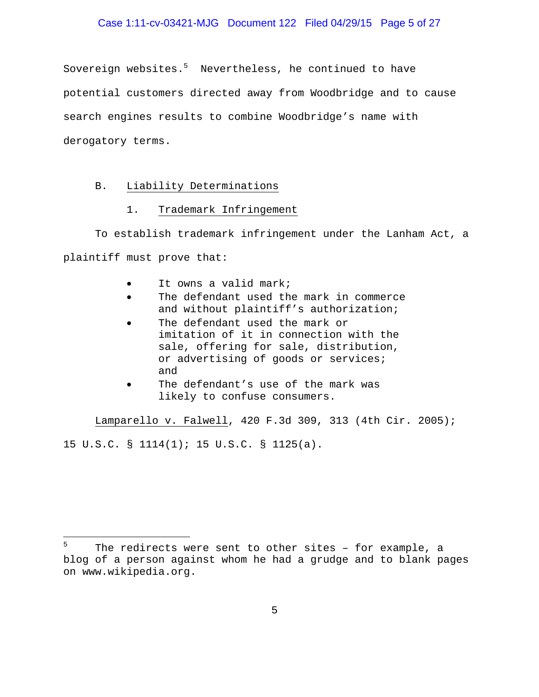# Case 1:11-cv-03421-MJG Document 122 Filed 04/29/15 Page 5 of 27

Sovereign websites.<sup>5</sup> Nevertheless, he continued to have potential customers directed away from Woodbridge and to cause search engines results to combine Woodbridge's name with derogatory terms.

### B. Liability Determinations

i<br>Li

# 1. Trademark Infringement

To establish trademark infringement under the Lanham Act, a plaintiff must prove that:

- It owns a valid mark;
- The defendant used the mark in commerce and without plaintiff's authorization;
- The defendant used the mark or imitation of it in connection with the sale, offering for sale, distribution, or advertising of goods or services; and
- The defendant's use of the mark was likely to confuse consumers.

Lamparello v. Falwell, 420 F.3d 309, 313 (4th Cir. 2005); 15 U.S.C. § 1114(1); 15 U.S.C. § 1125(a).

<sup>5</sup> The redirects were sent to other sites – for example, a blog of a person against whom he had a grudge and to blank pages on www.wikipedia.org.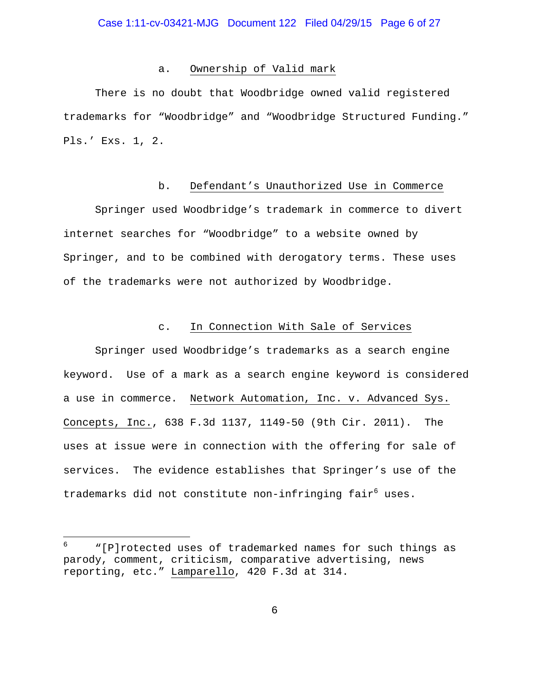#### a. Ownership of Valid mark

There is no doubt that Woodbridge owned valid registered trademarks for "Woodbridge" and "Woodbridge Structured Funding." Pls.' Exs. 1, 2.

### b. Defendant's Unauthorized Use in Commerce

Springer used Woodbridge's trademark in commerce to divert internet searches for "Woodbridge" to a website owned by Springer, and to be combined with derogatory terms. These uses of the trademarks were not authorized by Woodbridge.

#### c. In Connection With Sale of Services

 Springer used Woodbridge's trademarks as a search engine keyword. Use of a mark as a search engine keyword is considered a use in commerce. Network Automation, Inc. v. Advanced Sys. Concepts, Inc., 638 F.3d 1137, 1149-50 (9th Cir. 2011). The uses at issue were in connection with the offering for sale of services. The evidence establishes that Springer's use of the trademarks did not constitute non-infringing fair<sup>6</sup> uses.

i<br>Li

<sup>6</sup> "[P]rotected uses of trademarked names for such things as parody, comment, criticism, comparative advertising, news reporting, etc." Lamparello, 420 F.3d at 314.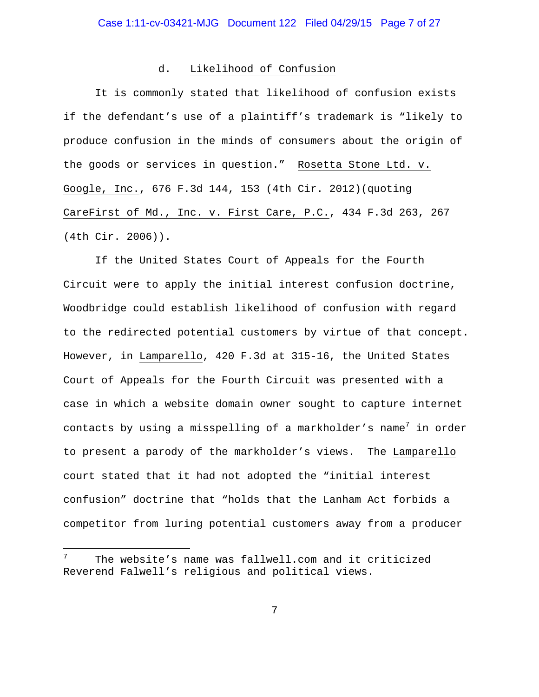### d. Likelihood of Confusion

It is commonly stated that likelihood of confusion exists if the defendant's use of a plaintiff's trademark is "likely to produce confusion in the minds of consumers about the origin of the goods or services in question." Rosetta Stone Ltd. v. Google, Inc., 676 F.3d 144, 153 (4th Cir. 2012)(quoting CareFirst of Md., Inc. v. First Care, P.C., 434 F.3d 263, 267 (4th Cir. 2006)).

If the United States Court of Appeals for the Fourth Circuit were to apply the initial interest confusion doctrine, Woodbridge could establish likelihood of confusion with regard to the redirected potential customers by virtue of that concept. However, in Lamparello, 420 F.3d at 315-16, the United States Court of Appeals for the Fourth Circuit was presented with a case in which a website domain owner sought to capture internet contacts by using a misspelling of a markholder's name $^7$  in order to present a parody of the markholder's views. The Lamparello court stated that it had not adopted the "initial interest confusion" doctrine that "holds that the Lanham Act forbids a competitor from luring potential customers away from a producer

i

<sup>7</sup> The website's name was fallwell.com and it criticized Reverend Falwell's religious and political views.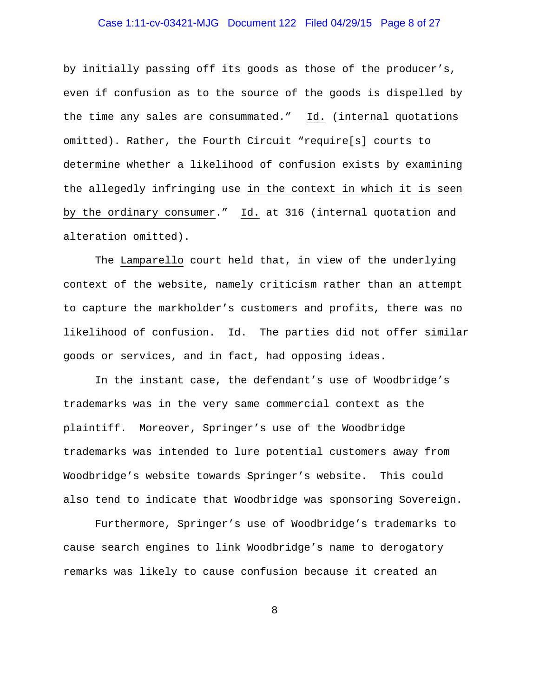# Case 1:11-cv-03421-MJG Document 122 Filed 04/29/15 Page 8 of 27

by initially passing off its goods as those of the producer's, even if confusion as to the source of the goods is dispelled by the time any sales are consummated." Id. (internal quotations omitted). Rather, the Fourth Circuit "require[s] courts to determine whether a likelihood of confusion exists by examining the allegedly infringing use in the context in which it is seen by the ordinary consumer." Id. at 316 (internal quotation and alteration omitted).

The Lamparello court held that, in view of the underlying context of the website, namely criticism rather than an attempt to capture the markholder's customers and profits, there was no likelihood of confusion. Id. The parties did not offer similar goods or services, and in fact, had opposing ideas.

In the instant case, the defendant's use of Woodbridge's trademarks was in the very same commercial context as the plaintiff. Moreover, Springer's use of the Woodbridge trademarks was intended to lure potential customers away from Woodbridge's website towards Springer's website. This could also tend to indicate that Woodbridge was sponsoring Sovereign.

Furthermore, Springer's use of Woodbridge's trademarks to cause search engines to link Woodbridge's name to derogatory remarks was likely to cause confusion because it created an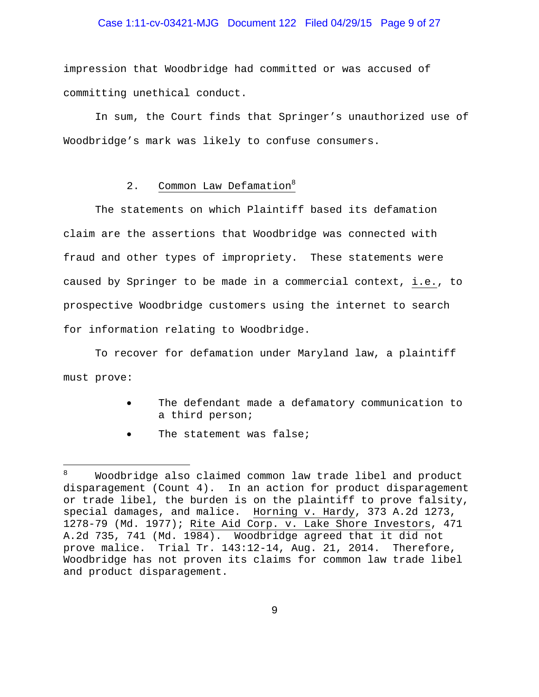# Case 1:11-cv-03421-MJG Document 122 Filed 04/29/15 Page 9 of 27

impression that Woodbridge had committed or was accused of committing unethical conduct.

In sum, the Court finds that Springer's unauthorized use of Woodbridge's mark was likely to confuse consumers.

# 2. Common Law Defamation<sup>8</sup>

The statements on which Plaintiff based its defamation claim are the assertions that Woodbridge was connected with fraud and other types of impropriety. These statements were caused by Springer to be made in a commercial context, i.e., to prospective Woodbridge customers using the internet to search for information relating to Woodbridge.

To recover for defamation under Maryland law, a plaintiff must prove:

- The defendant made a defamatory communication to a third person;
- The statement was false;

i

<sup>8</sup> Woodbridge also claimed common law trade libel and product disparagement (Count 4). In an action for product disparagement or trade libel, the burden is on the plaintiff to prove falsity, special damages, and malice. Horning v. Hardy, 373 A.2d 1273, 1278-79 (Md. 1977); Rite Aid Corp. v. Lake Shore Investors, 471 A.2d 735, 741 (Md. 1984). Woodbridge agreed that it did not prove malice. Trial Tr. 143:12-14, Aug. 21, 2014. Therefore, Woodbridge has not proven its claims for common law trade libel and product disparagement.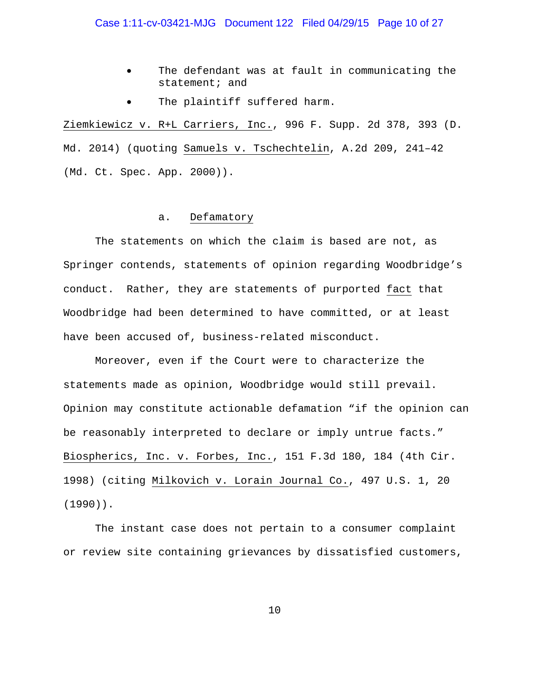- The defendant was at fault in communicating the statement; and
- The plaintiff suffered harm.

Ziemkiewicz v. R+L Carriers, Inc., 996 F. Supp. 2d 378, 393 (D. Md. 2014) (quoting Samuels v. Tschechtelin, A.2d 209, 241–42 (Md. Ct. Spec. App. 2000)).

### a. Defamatory

The statements on which the claim is based are not, as Springer contends, statements of opinion regarding Woodbridge's conduct. Rather, they are statements of purported fact that Woodbridge had been determined to have committed, or at least have been accused of, business-related misconduct.

Moreover, even if the Court were to characterize the statements made as opinion, Woodbridge would still prevail. Opinion may constitute actionable defamation "if the opinion can be reasonably interpreted to declare or imply untrue facts." Biospherics, Inc. v. Forbes, Inc., 151 F.3d 180, 184 (4th Cir. 1998) (citing Milkovich v. Lorain Journal Co., 497 U.S. 1, 20 (1990)).

The instant case does not pertain to a consumer complaint or review site containing grievances by dissatisfied customers,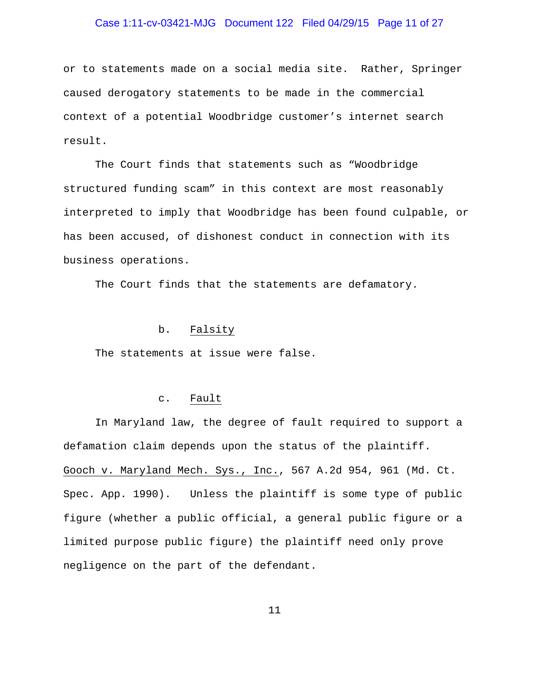# Case 1:11-cv-03421-MJG Document 122 Filed 04/29/15 Page 11 of 27

or to statements made on a social media site. Rather, Springer caused derogatory statements to be made in the commercial context of a potential Woodbridge customer's internet search result.

The Court finds that statements such as "Woodbridge structured funding scam" in this context are most reasonably interpreted to imply that Woodbridge has been found culpable, or has been accused, of dishonest conduct in connection with its business operations.

The Court finds that the statements are defamatory.

# b. Falsity

The statements at issue were false.

#### c. Fault

In Maryland law, the degree of fault required to support a defamation claim depends upon the status of the plaintiff. Gooch v. Maryland Mech. Sys., Inc., 567 A.2d 954, 961 (Md. Ct. Spec. App. 1990). Unless the plaintiff is some type of public figure (whether a public official, a general public figure or a limited purpose public figure) the plaintiff need only prove negligence on the part of the defendant.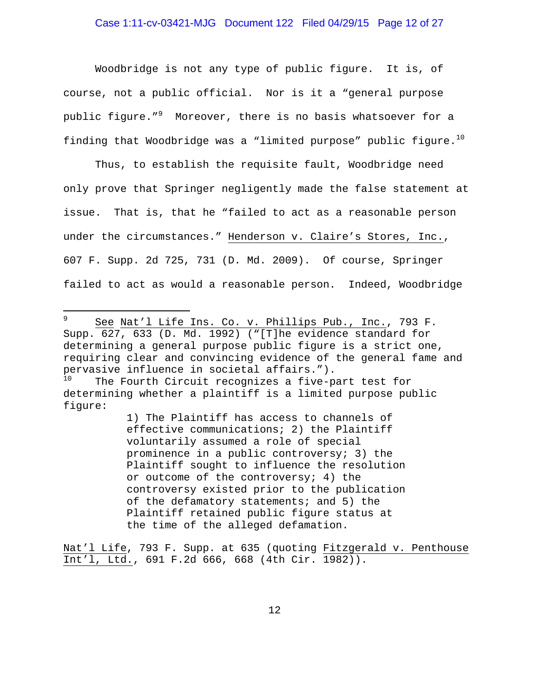Woodbridge is not any type of public figure. It is, of course, not a public official. Nor is it a "general purpose public figure." $^9$  Moreover, there is no basis whatsoever for a finding that Woodbridge was a "limited purpose" public figure.<sup>10</sup>

Thus, to establish the requisite fault, Woodbridge need only prove that Springer negligently made the false statement at issue. That is, that he "failed to act as a reasonable person under the circumstances." Henderson v. Claire's Stores, Inc., 607 F. Supp. 2d 725, 731 (D. Md. 2009). Of course, Springer failed to act as would a reasonable person. Indeed, Woodbridge

1) The Plaintiff has access to channels of effective communications; 2) the Plaintiff voluntarily assumed a role of special prominence in a public controversy; 3) the Plaintiff sought to influence the resolution or outcome of the controversy; 4) the controversy existed prior to the publication of the defamatory statements; and 5) the Plaintiff retained public figure status at the time of the alleged defamation.

Nat'l Life, 793 F. Supp. at 635 (quoting Fitzgerald v. Penthouse Int'l, Ltd., 691 F.2d 666, 668 (4th Cir. 1982)).

 $\frac{1}{9}$  See Nat'l Life Ins. Co. v. Phillips Pub., Inc., 793 F. Supp. 627, 633 (D. Md. 1992) ("[T]he evidence standard for determining a general purpose public figure is a strict one, requiring clear and convincing evidence of the general fame and pervasive influence in societal affairs."). The Fourth Circuit recognizes a five-part test for

determining whether a plaintiff is a limited purpose public figure: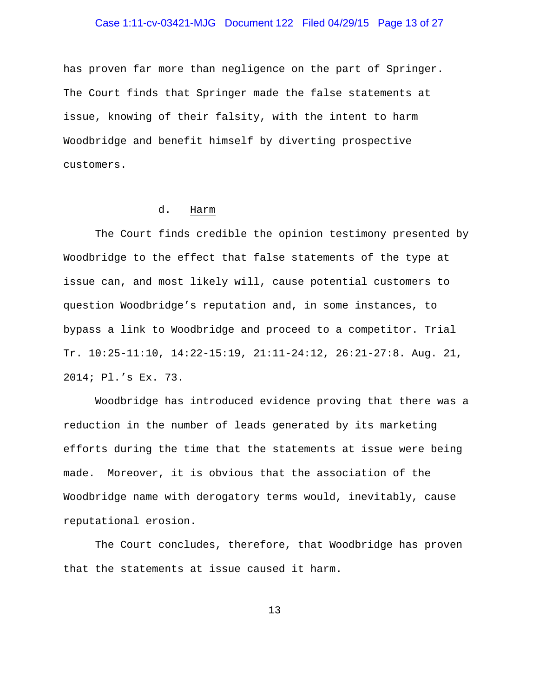# Case 1:11-cv-03421-MJG Document 122 Filed 04/29/15 Page 13 of 27

has proven far more than negligence on the part of Springer. The Court finds that Springer made the false statements at issue, knowing of their falsity, with the intent to harm Woodbridge and benefit himself by diverting prospective customers.

### d. Harm

 The Court finds credible the opinion testimony presented by Woodbridge to the effect that false statements of the type at issue can, and most likely will, cause potential customers to question Woodbridge's reputation and, in some instances, to bypass a link to Woodbridge and proceed to a competitor. Trial Tr. 10:25-11:10, 14:22-15:19, 21:11-24:12, 26:21-27:8. Aug. 21, 2014; Pl.'s Ex. 73.

Woodbridge has introduced evidence proving that there was a reduction in the number of leads generated by its marketing efforts during the time that the statements at issue were being made. Moreover, it is obvious that the association of the Woodbridge name with derogatory terms would, inevitably, cause reputational erosion.

 The Court concludes, therefore, that Woodbridge has proven that the statements at issue caused it harm.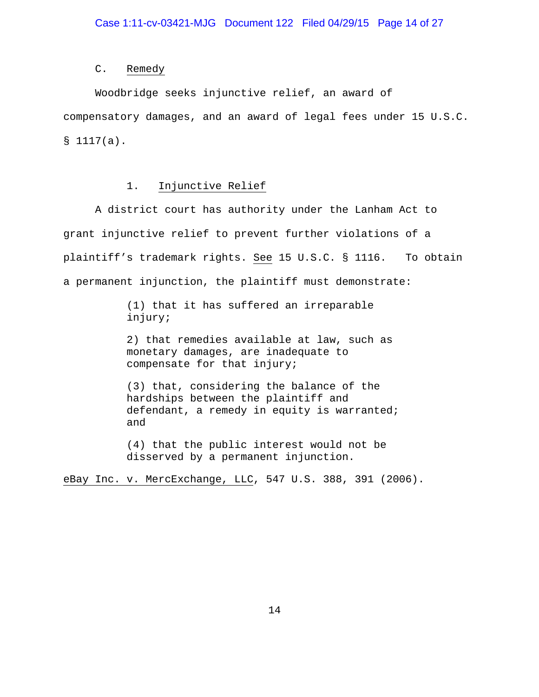#### C. Remedy

Woodbridge seeks injunctive relief, an award of compensatory damages, and an award of legal fees under 15 U.S.C. § 1117(a).

# 1. Injunctive Relief

A district court has authority under the Lanham Act to grant injunctive relief to prevent further violations of a plaintiff's trademark rights. See 15 U.S.C. § 1116. To obtain a permanent injunction, the plaintiff must demonstrate:

> (1) that it has suffered an irreparable injury;

2) that remedies available at law, such as monetary damages, are inadequate to compensate for that injury;

(3) that, considering the balance of the hardships between the plaintiff and defendant, a remedy in equity is warranted; and

(4) that the public interest would not be disserved by a permanent injunction.

eBay Inc. v. MercExchange, LLC, 547 U.S. 388, 391 (2006).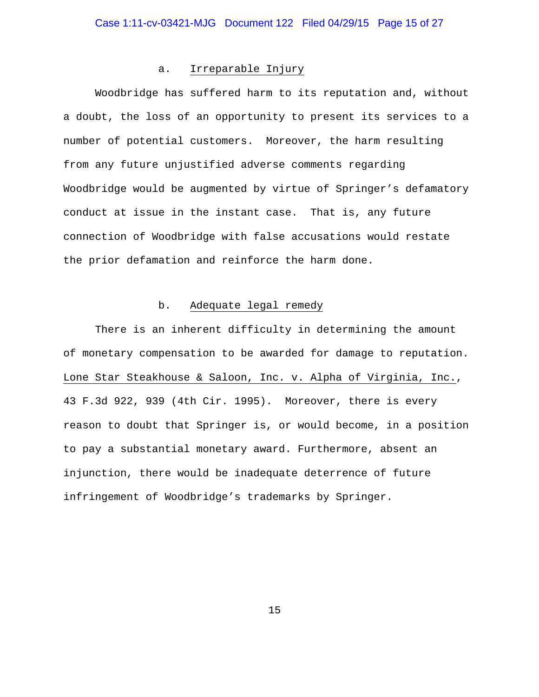#### a. Irreparable Injury

Woodbridge has suffered harm to its reputation and, without a doubt, the loss of an opportunity to present its services to a number of potential customers. Moreover, the harm resulting from any future unjustified adverse comments regarding Woodbridge would be augmented by virtue of Springer's defamatory conduct at issue in the instant case. That is, any future connection of Woodbridge with false accusations would restate the prior defamation and reinforce the harm done.

# b. Adequate legal remedy

There is an inherent difficulty in determining the amount of monetary compensation to be awarded for damage to reputation. Lone Star Steakhouse & Saloon, Inc. v. Alpha of Virginia, Inc., 43 F.3d 922, 939 (4th Cir. 1995). Moreover, there is every reason to doubt that Springer is, or would become, in a position to pay a substantial monetary award. Furthermore, absent an injunction, there would be inadequate deterrence of future infringement of Woodbridge's trademarks by Springer.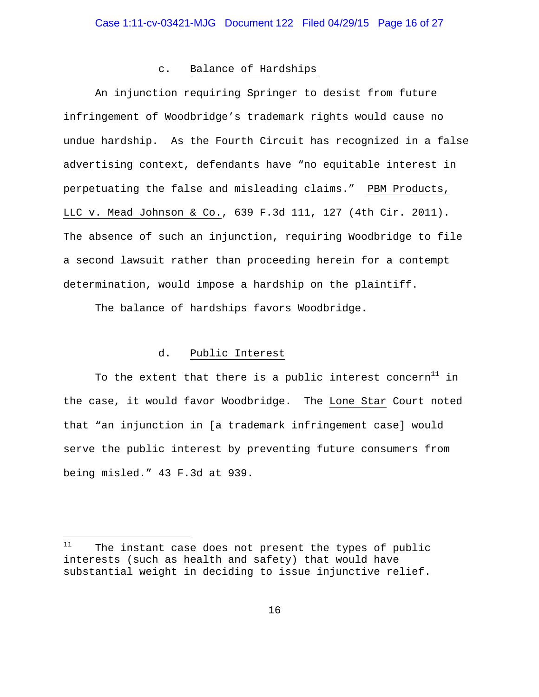#### c. Balance of Hardships

An injunction requiring Springer to desist from future infringement of Woodbridge's trademark rights would cause no undue hardship. As the Fourth Circuit has recognized in a false advertising context, defendants have "no equitable interest in perpetuating the false and misleading claims." PBM Products, LLC v. Mead Johnson & Co., 639 F.3d 111, 127 (4th Cir. 2011). The absence of such an injunction, requiring Woodbridge to file a second lawsuit rather than proceeding herein for a contempt determination, would impose a hardship on the plaintiff.

The balance of hardships favors Woodbridge.

# d. Public Interest

To the extent that there is a public interest concern<sup>11</sup> in the case, it would favor Woodbridge. The Lone Star Court noted that "an injunction in [a trademark infringement case] would serve the public interest by preventing future consumers from being misled." 43 F.3d at 939.

 $11$ The instant case does not present the types of public interests (such as health and safety) that would have substantial weight in deciding to issue injunctive relief.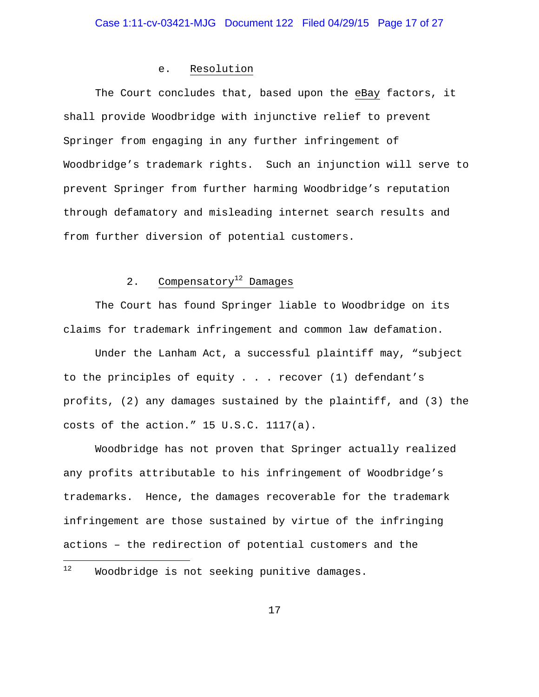### e. Resolution

The Court concludes that, based upon the eBay factors, it shall provide Woodbridge with injunctive relief to prevent Springer from engaging in any further infringement of Woodbridge's trademark rights. Such an injunction will serve to prevent Springer from further harming Woodbridge's reputation through defamatory and misleading internet search results and from further diversion of potential customers.

# 2. Compensatory<sup>12</sup> Damages

The Court has found Springer liable to Woodbridge on its claims for trademark infringement and common law defamation.

Under the Lanham Act, a successful plaintiff may, "subject to the principles of equity . . . recover (1) defendant's profits, (2) any damages sustained by the plaintiff, and (3) the costs of the action." 15 U.S.C. 1117(a).

Woodbridge has not proven that Springer actually realized any profits attributable to his infringement of Woodbridge's trademarks. Hence, the damages recoverable for the trademark infringement are those sustained by virtue of the infringing actions – the redirection of potential customers and the

i

<sup>&</sup>lt;sup>12</sup> Woodbridge is not seeking punitive damages.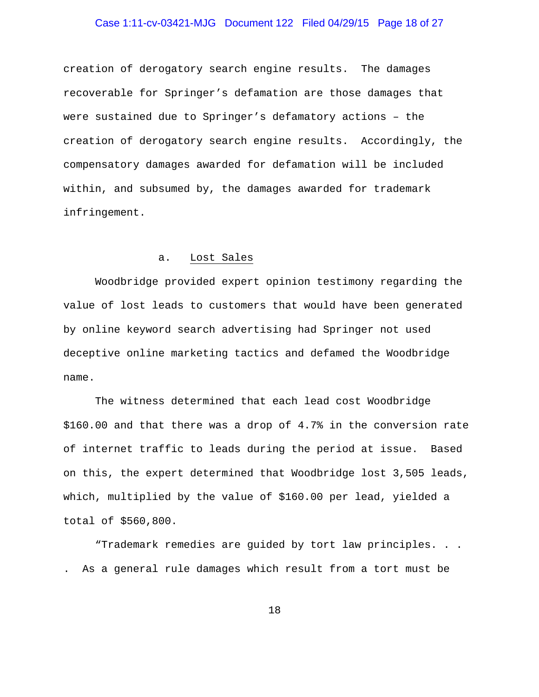# Case 1:11-cv-03421-MJG Document 122 Filed 04/29/15 Page 18 of 27

creation of derogatory search engine results. The damages recoverable for Springer's defamation are those damages that were sustained due to Springer's defamatory actions – the creation of derogatory search engine results. Accordingly, the compensatory damages awarded for defamation will be included within, and subsumed by, the damages awarded for trademark infringement.

### a. Lost Sales

Woodbridge provided expert opinion testimony regarding the value of lost leads to customers that would have been generated by online keyword search advertising had Springer not used deceptive online marketing tactics and defamed the Woodbridge name.

The witness determined that each lead cost Woodbridge \$160.00 and that there was a drop of 4.7% in the conversion rate of internet traffic to leads during the period at issue. Based on this, the expert determined that Woodbridge lost 3,505 leads, which, multiplied by the value of \$160.00 per lead, yielded a total of \$560,800.

"Trademark remedies are guided by tort law principles. . . . As a general rule damages which result from a tort must be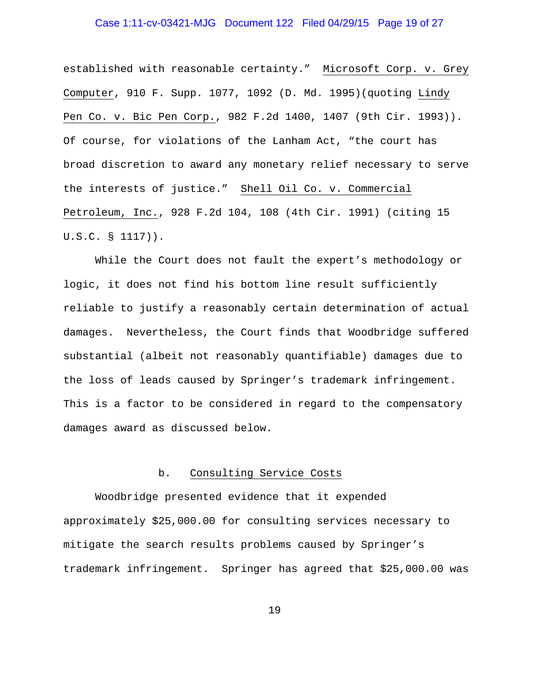# Case 1:11-cv-03421-MJG Document 122 Filed 04/29/15 Page 19 of 27

established with reasonable certainty." Microsoft Corp. v. Grey Computer, 910 F. Supp. 1077, 1092 (D. Md. 1995)(quoting Lindy Pen Co. v. Bic Pen Corp., 982 F.2d 1400, 1407 (9th Cir. 1993)). Of course, for violations of the Lanham Act, "the court has broad discretion to award any monetary relief necessary to serve the interests of justice." Shell Oil Co. v. Commercial Petroleum, Inc., 928 F.2d 104, 108 (4th Cir. 1991) (citing 15 U.S.C. § 1117)).

While the Court does not fault the expert's methodology or logic, it does not find his bottom line result sufficiently reliable to justify a reasonably certain determination of actual damages. Nevertheless, the Court finds that Woodbridge suffered substantial (albeit not reasonably quantifiable) damages due to the loss of leads caused by Springer's trademark infringement. This is a factor to be considered in regard to the compensatory damages award as discussed below.

#### b. Consulting Service Costs

Woodbridge presented evidence that it expended approximately \$25,000.00 for consulting services necessary to mitigate the search results problems caused by Springer's trademark infringement. Springer has agreed that \$25,000.00 was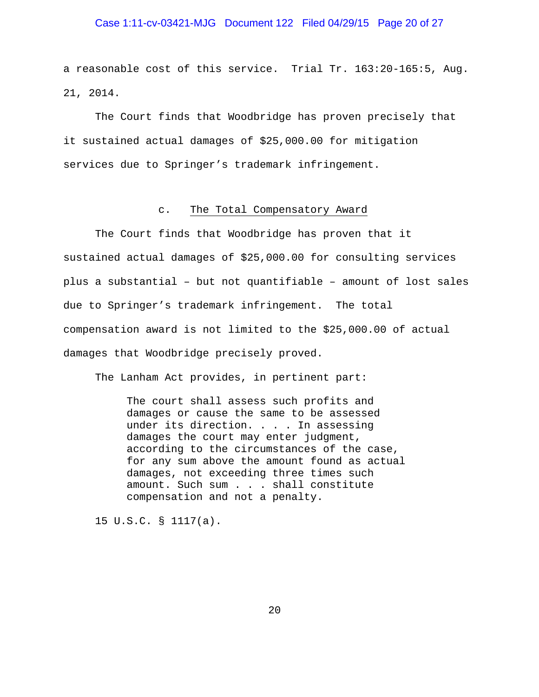# Case 1:11-cv-03421-MJG Document 122 Filed 04/29/15 Page 20 of 27

a reasonable cost of this service. Trial Tr. 163:20-165:5, Aug. 21, 2014.

The Court finds that Woodbridge has proven precisely that it sustained actual damages of \$25,000.00 for mitigation services due to Springer's trademark infringement.

#### c. The Total Compensatory Award

The Court finds that Woodbridge has proven that it sustained actual damages of \$25,000.00 for consulting services plus a substantial – but not quantifiable – amount of lost sales due to Springer's trademark infringement. The total compensation award is not limited to the \$25,000.00 of actual damages that Woodbridge precisely proved.

The Lanham Act provides, in pertinent part:

The court shall assess such profits and damages or cause the same to be assessed under its direction. . . . In assessing damages the court may enter judgment, according to the circumstances of the case, for any sum above the amount found as actual damages, not exceeding three times such amount. Such sum . . . shall constitute compensation and not a penalty.

15 U.S.C. § 1117(a).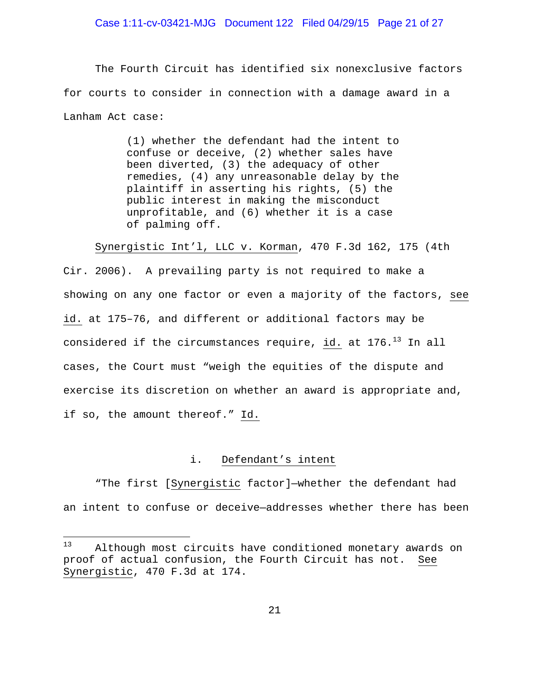# Case 1:11-cv-03421-MJG Document 122 Filed 04/29/15 Page 21 of 27

The Fourth Circuit has identified six nonexclusive factors for courts to consider in connection with a damage award in a Lanham Act case:

> (1) whether the defendant had the intent to confuse or deceive, (2) whether sales have been diverted, (3) the adequacy of other remedies, (4) any unreasonable delay by the plaintiff in asserting his rights, (5) the public interest in making the misconduct unprofitable, and (6) whether it is a case of palming off.

Synergistic Int'l, LLC v. Korman, 470 F.3d 162, 175 (4th

Cir. 2006). A prevailing party is not required to make a showing on any one factor or even a majority of the factors, see id. at 175–76, and different or additional factors may be considered if the circumstances require, id. at  $176.^{13}$  In all cases, the Court must "weigh the equities of the dispute and exercise its discretion on whether an award is appropriate and, if so, the amount thereof." Id.

### i. Defendant's intent

"The first [Synergistic factor]—whether the defendant had an intent to confuse or deceive—addresses whether there has been

 $13$ Although most circuits have conditioned monetary awards on proof of actual confusion, the Fourth Circuit has not. See Synergistic, 470 F.3d at 174.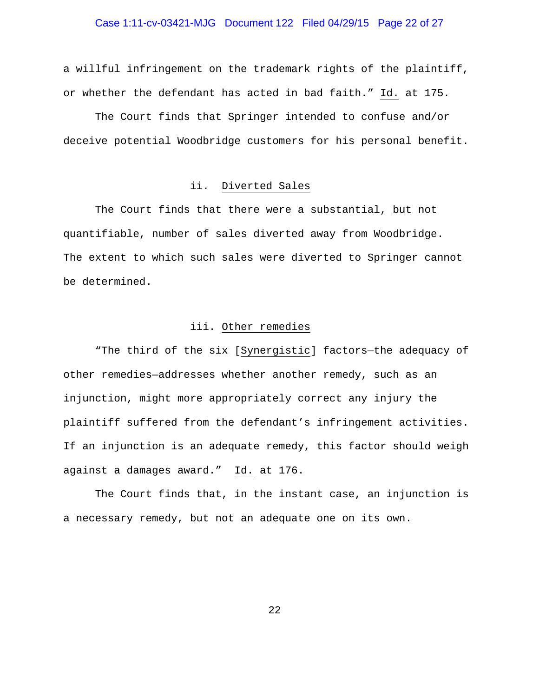# Case 1:11-cv-03421-MJG Document 122 Filed 04/29/15 Page 22 of 27

a willful infringement on the trademark rights of the plaintiff, or whether the defendant has acted in bad faith." Id. at 175.

The Court finds that Springer intended to confuse and/or deceive potential Woodbridge customers for his personal benefit.

### ii. Diverted Sales

The Court finds that there were a substantial, but not quantifiable, number of sales diverted away from Woodbridge. The extent to which such sales were diverted to Springer cannot be determined.

### iii. Other remedies

"The third of the six [Synergistic] factors—the adequacy of other remedies—addresses whether another remedy, such as an injunction, might more appropriately correct any injury the plaintiff suffered from the defendant's infringement activities. If an injunction is an adequate remedy, this factor should weigh against a damages award." Id. at 176.

The Court finds that, in the instant case, an injunction is a necessary remedy, but not an adequate one on its own.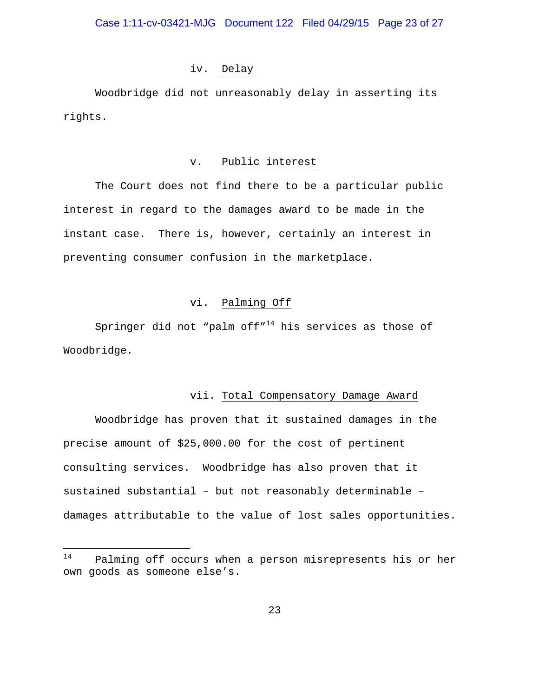### iv. Delay

Woodbridge did not unreasonably delay in asserting its rights.

# v. Public interest

The Court does not find there to be a particular public interest in regard to the damages award to be made in the instant case. There is, however, certainly an interest in preventing consumer confusion in the marketplace.

# vi. Palming Off

Springer did not "palm off"<sup>14</sup> his services as those of Woodbridge.

#### vii. Total Compensatory Damage Award

 Woodbridge has proven that it sustained damages in the precise amount of \$25,000.00 for the cost of pertinent consulting services. Woodbridge has also proven that it sustained substantial – but not reasonably determinable – damages attributable to the value of lost sales opportunities.

<sup>14</sup> Palming off occurs when a person misrepresents his or her own goods as someone else's.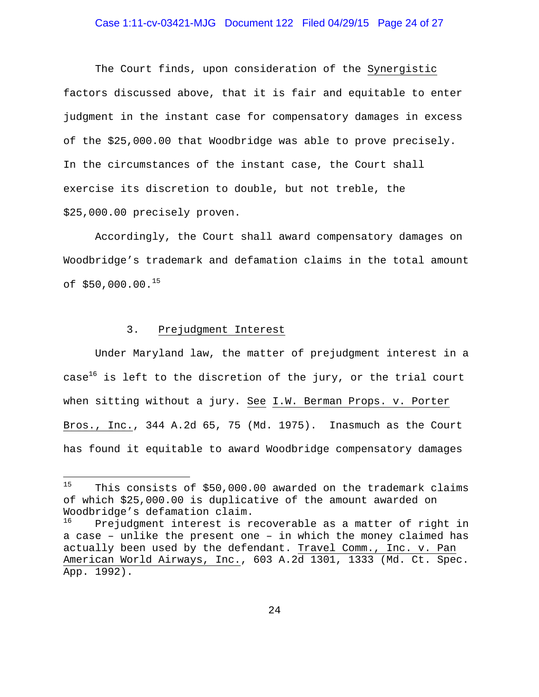# Case 1:11-cv-03421-MJG Document 122 Filed 04/29/15 Page 24 of 27

The Court finds, upon consideration of the Synergistic factors discussed above, that it is fair and equitable to enter judgment in the instant case for compensatory damages in excess of the \$25,000.00 that Woodbridge was able to prove precisely. In the circumstances of the instant case, the Court shall exercise its discretion to double, but not treble, the \$25,000.00 precisely proven.

Accordingly, the Court shall award compensatory damages on Woodbridge's trademark and defamation claims in the total amount of  $$50,000.00.^15$ 

### 3. Prejudgment Interest

i<br>Li

Under Maryland law, the matter of prejudgment interest in a case<sup>16</sup> is left to the discretion of the jury, or the trial court when sitting without a jury. See I.W. Berman Props. v. Porter Bros., Inc., 344 A.2d 65, 75 (Md. 1975). Inasmuch as the Court has found it equitable to award Woodbridge compensatory damages

<sup>&</sup>lt;sup>15</sup> This consists of \$50,000.00 awarded on the trademark claims of which \$25,000.00 is duplicative of the amount awarded on Woodbridge's defamation claim.<br><sup>16</sup> Prejudement interest is r

Prejudgment interest is recoverable as a matter of right in a case – unlike the present one – in which the money claimed has actually been used by the defendant. Travel Comm., Inc. v. Pan American World Airways, Inc., 603 A.2d 1301, 1333 (Md. Ct. Spec. App. 1992).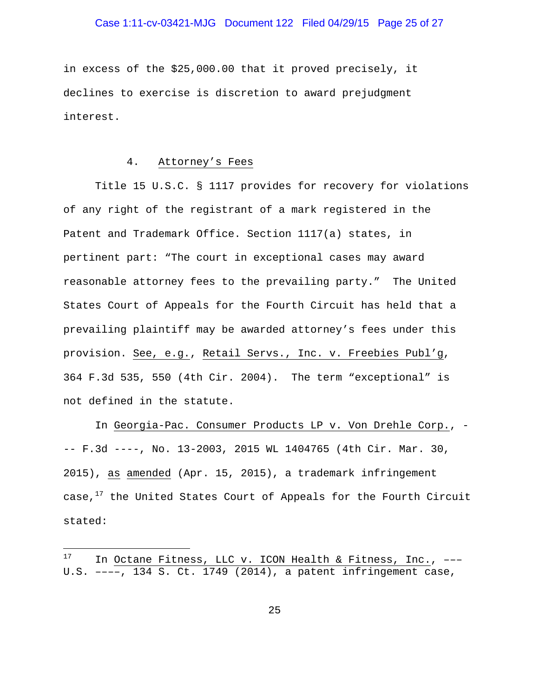# Case 1:11-cv-03421-MJG Document 122 Filed 04/29/15 Page 25 of 27

in excess of the \$25,000.00 that it proved precisely, it declines to exercise is discretion to award prejudgment interest.

### 4. Attorney's Fees

Title 15 U.S.C. § 1117 provides for recovery for violations of any right of the registrant of a mark registered in the Patent and Trademark Office. Section 1117(a) states, in pertinent part: "The court in exceptional cases may award reasonable attorney fees to the prevailing party." The United States Court of Appeals for the Fourth Circuit has held that a prevailing plaintiff may be awarded attorney's fees under this provision. See, e.g., Retail Servs., Inc. v. Freebies Publ'g, 364 F.3d 535, 550 (4th Cir. 2004). The term "exceptional" is not defined in the statute.

In Georgia-Pac. Consumer Products LP v. Von Drehle Corp., - -- F.3d ----, No. 13-2003, 2015 WL 1404765 (4th Cir. Mar. 30, 2015), as amended (Apr. 15, 2015), a trademark infringement case, $17$  the United States Court of Appeals for the Fourth Circuit stated:

<sup>17</sup> In Octane Fitness, LLC v. ICON Health & Fitness, Inc., ---U.S. ––––, 134 S. Ct. 1749 (2014), a patent infringement case,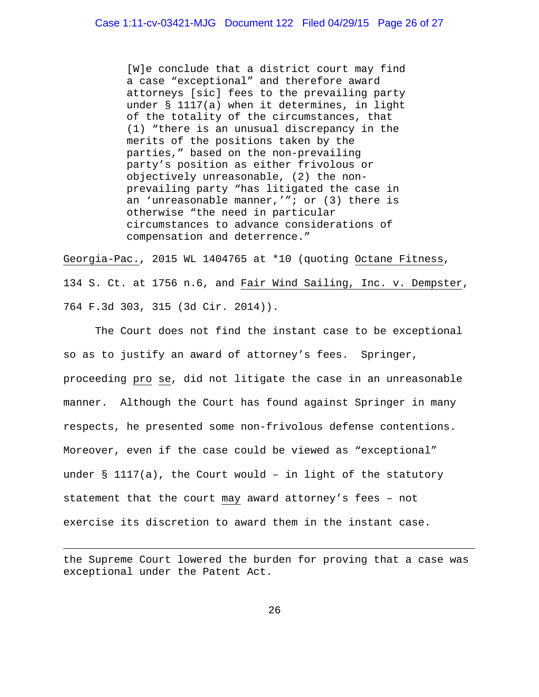[W]e conclude that a district court may find a case "exceptional" and therefore award attorneys [sic] fees to the prevailing party under § 1117(a) when it determines, in light of the totality of the circumstances, that (1) "there is an unusual discrepancy in the merits of the positions taken by the parties," based on the non-prevailing party's position as either frivolous or objectively unreasonable, (2) the nonprevailing party "has litigated the case in an 'unreasonable manner,'"; or  $(3)$  there is otherwise "the need in particular circumstances to advance considerations of compensation and deterrence."

Georgia-Pac., 2015 WL 1404765 at \*10 (quoting Octane Fitness, 134 S. Ct. at 1756 n.6, and Fair Wind Sailing, Inc. v. Dempster, 764 F.3d 303, 315 (3d Cir. 2014)).

The Court does not find the instant case to be exceptional so as to justify an award of attorney's fees. Springer, proceeding pro se, did not litigate the case in an unreasonable manner. Although the Court has found against Springer in many respects, he presented some non-frivolous defense contentions. Moreover, even if the case could be viewed as "exceptional" under  $\S$  1117(a), the Court would - in light of the statutory statement that the court may award attorney's fees – not exercise its discretion to award them in the instant case.

the Supreme Court lowered the burden for proving that a case was exceptional under the Patent Act.

i